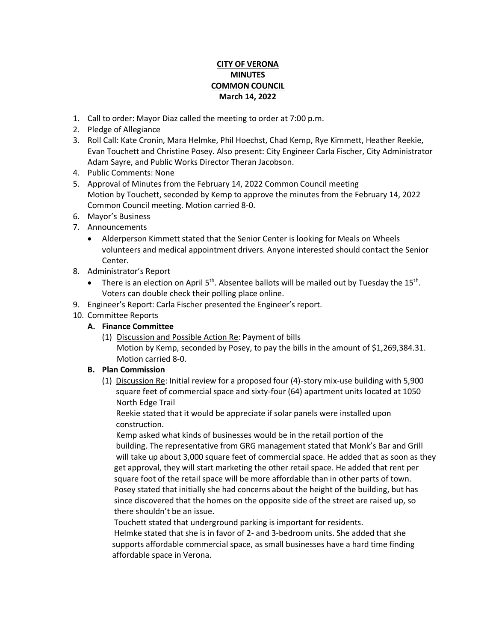## **CITY OF VERONA MINUTES COMMON COUNCIL March 14, 2022**

- 1. Call to order: Mayor Diaz called the meeting to order at 7:00 p.m.
- 2. Pledge of Allegiance
- 3. Roll Call: Kate Cronin, Mara Helmke, Phil Hoechst, Chad Kemp, Rye Kimmett, Heather Reekie, Evan Touchett and Christine Posey. Also present: City Engineer Carla Fischer, City Administrator Adam Sayre, and Public Works Director Theran Jacobson.
- 4. Public Comments: None
- 5. Approval of Minutes from the February 14, 2022 Common Council meeting Motion by Touchett, seconded by Kemp to approve the minutes from the February 14, 2022 Common Council meeting. Motion carried 8-0.
- 6. Mayor's Business
- 7. Announcements
	- Alderperson Kimmett stated that the Senior Center is looking for Meals on Wheels volunteers and medical appointment drivers. Anyone interested should contact the Senior Center.
- 8. Administrator's Report
	- There is an election on April  $5<sup>th</sup>$ . Absentee ballots will be mailed out by Tuesday the 15<sup>th</sup>. Voters can double check their polling place online.
- 9. Engineer's Report: Carla Fischer presented the Engineer's report.
- 10. Committee Reports
	- **A. Finance Committee**
		- (1) Discussion and Possible Action Re: Payment of bills Motion by Kemp, seconded by Posey, to pay the bills in the amount of \$1,269,384.31. Motion carried 8-0.

## **B. Plan Commission**

(1) Discussion Re: Initial review for a proposed four (4)-story mix-use building with 5,900 square feet of commercial space and sixty-four (64) apartment units located at 1050 North Edge Trail

 Reekie stated that it would be appreciate if solar panels were installed upon construction.

 Kemp asked what kinds of businesses would be in the retail portion of the building. The representative from GRG management stated that Monk's Bar and Grill will take up about 3,000 square feet of commercial space. He added that as soon as they get approval, they will start marketing the other retail space. He added that rent per square foot of the retail space will be more affordable than in other parts of town. Posey stated that initially she had concerns about the height of the building, but has since discovered that the homes on the opposite side of the street are raised up, so there shouldn't be an issue.

 Touchett stated that underground parking is important for residents. Helmke stated that she is in favor of 2- and 3-bedroom units. She added that she supports affordable commercial space, as small businesses have a hard time finding affordable space in Verona.